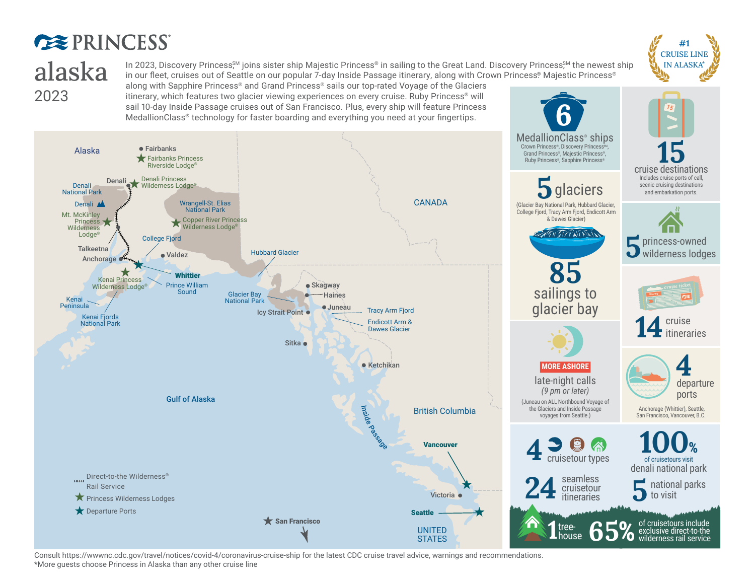## **EXPRINCESS** alaska 2023

In 2023, Discovery Princess,<sup>SM</sup> joins sister ship Majestic Princess® in sailing to the Great Land. Discovery Princess,<sup>SM</sup> the newest ship in our fleet, cruises out of Seattle on our popular 7-day Inside Passage itinerary, along with Crown Princess® Majestic Princess®

along with Sapphire Princess® and Grand Princess® sails our top-rated Voyage of the Glaciers itinerary, which features two glacier viewing experiences on every cruise. Ruby Princess<sup>®</sup> will sail 10-day Inside Passage cruises out of San Francisco. Plus, every ship will feature Princess MedallionClass® technology for faster boarding and everything you need at your fingertips.



Consult https://wwwnc.cdc.gov/travel/notices/covid-4/coronavirus-cruise-ship for the latest CDC cruise travel advice, warnings and recommendations. \*More guests choose Princess in Alaska than any other cruise line



*15*